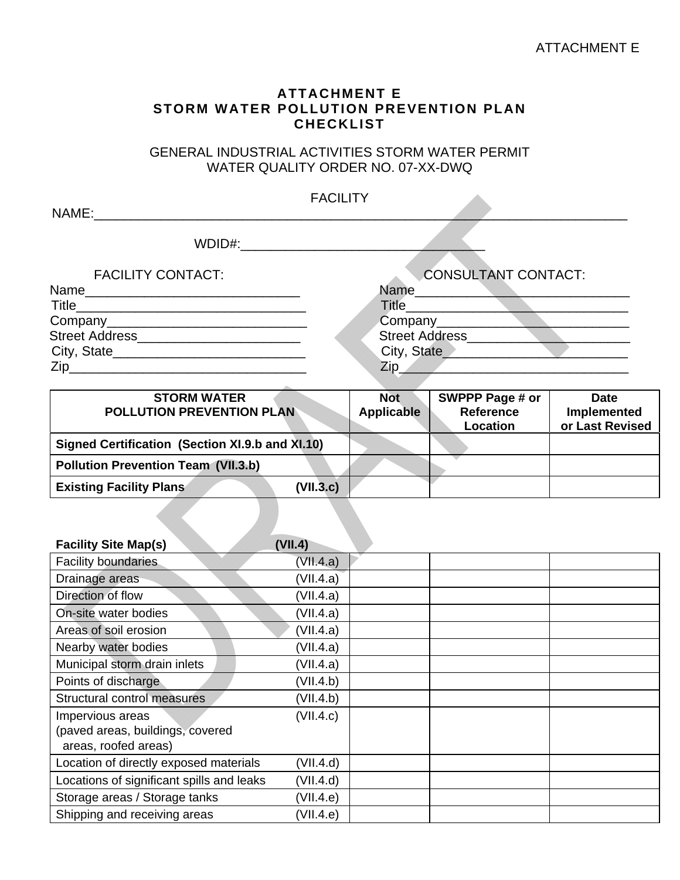## ATTACHMENT E

### **ATTACHMENT E STORM WATER POLLUTION PREVENTION PLAN CHECKLIST**

GENERAL INDUSTRIAL ACTIVITIES STORM WATER PERMIT WATER QUALITY ORDER NO. 07-XX-DWQ

| NAME:                    | <b>FACILITY</b>            |
|--------------------------|----------------------------|
|                          |                            |
| WDID#:                   |                            |
| <b>FACILITY CONTACT:</b> | <b>CONSULTANT CONTACT:</b> |
|                          |                            |
|                          | Title_________             |
|                          | Company_______             |
|                          | <b>Street Address</b>      |
|                          | City, State                |
|                          | Zip_                       |
|                          |                            |

| <b>STORM WATER</b><br><b>POLLUTION PREVENTION PLAN</b> | <b>Not</b><br><b>Applicable</b> | SWPPP Page # or<br><b>Reference</b><br>Location | <b>Date</b><br>Implemented<br>or Last Revised |
|--------------------------------------------------------|---------------------------------|-------------------------------------------------|-----------------------------------------------|
| Signed Certification (Section XI.9.b and XI.10)        |                                 |                                                 |                                               |
| <b>Pollution Prevention Team (VII.3.b)</b>             |                                 |                                                 |                                               |
| (VII.3.c)<br><b>Existing Facility Plans</b>            |                                 |                                                 |                                               |
|                                                        |                                 |                                                 |                                               |

| <b>Facility Site Map(s)</b>               | (VII.4)   |  |
|-------------------------------------------|-----------|--|
| <b>Facility boundaries</b>                | (VII.4.a) |  |
| Drainage areas                            | (VII.4.a) |  |
| Direction of flow                         | (VII.4.a) |  |
| On-site water bodies                      | (VII.4.a) |  |
| Areas of soil erosion                     | (VII.4.a) |  |
| Nearby water bodies                       | (VII.4.a) |  |
| Municipal storm drain inlets              | (VII.4.a) |  |
| Points of discharge                       | (VII.4.b) |  |
| Structural control measures               | (VII.4.b) |  |
| Impervious areas                          | (VII.4.c) |  |
| (paved areas, buildings, covered          |           |  |
| areas, roofed areas)                      |           |  |
| Location of directly exposed materials    | (VII.4.d) |  |
| Locations of significant spills and leaks | (VII.4.d) |  |
| Storage areas / Storage tanks             | (VII.4.e) |  |
| Shipping and receiving areas              | (VII.4.e) |  |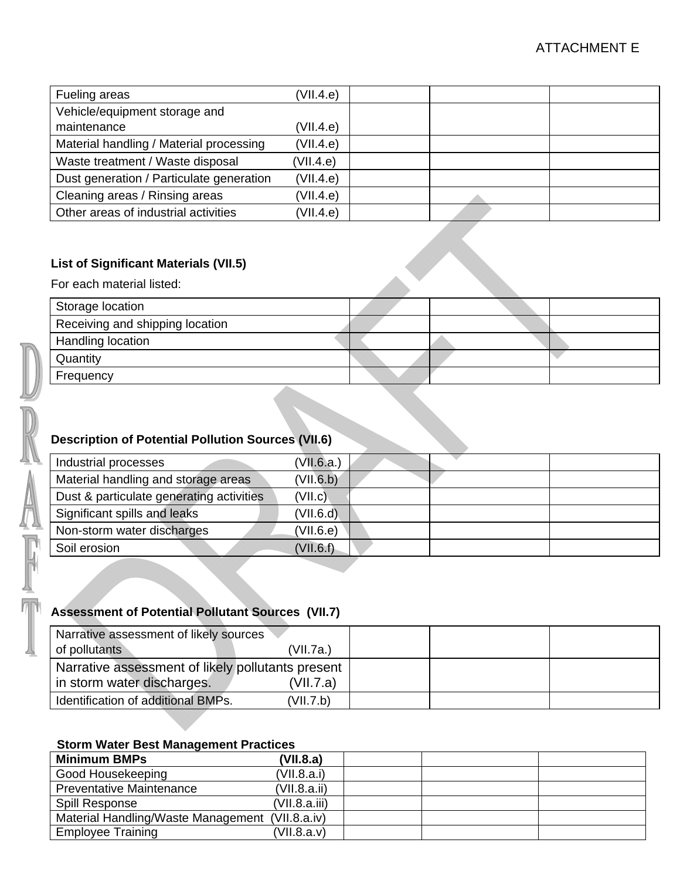| Fueling areas                            | (VII.4.e) |  |  |
|------------------------------------------|-----------|--|--|
| Vehicle/equipment storage and            |           |  |  |
| maintenance                              | (VII.4.e) |  |  |
| Material handling / Material processing  | (VII.4.e) |  |  |
| Waste treatment / Waste disposal         | (VII.4.e) |  |  |
| Dust generation / Particulate generation | (VII.4.e) |  |  |
| Cleaning areas / Rinsing areas           | (VII.4.e) |  |  |
| Other areas of industrial activities     | (VII.4.e) |  |  |

### **List of Significant Materials (VII.5)**

For each material listed:

| Storage location                |  |  |
|---------------------------------|--|--|
| Receiving and shipping location |  |  |
| Handling location               |  |  |
| Quantity                        |  |  |
| Frequency                       |  |  |

## **Description of Potential Pollution Sources (VII.6)**

| Ϋ́Л | Industrial processes                                     | (VII.6.a.) |  |  |
|-----|----------------------------------------------------------|------------|--|--|
|     | Material handling and storage areas                      | (VII.6.b)  |  |  |
|     | Dust & particulate generating activities                 | (VII.c)    |  |  |
|     | Significant spills and leaks                             | (VII.6.d)  |  |  |
| ЦЦ  | Non-storm water discharges                               | (VII.6.e)  |  |  |
|     | Soil erosion                                             | (VII.6.f)  |  |  |
|     |                                                          |            |  |  |
|     | <b>Assessment of Potential Pollutant Sources (VII.7)</b> |            |  |  |

# **Assessment of Potential Pollutant Sources (VII.7)**

| Narrative assessment of likely sources            |           |  |  |
|---------------------------------------------------|-----------|--|--|
| of pollutants                                     | (VII.7a.) |  |  |
| Narrative assessment of likely pollutants present |           |  |  |
| in storm water discharges.                        | (VII.7.a) |  |  |
| Identification of additional BMPs.                | (VII.7.b) |  |  |

#### **Storm Water Best Management Practices**

| <b>Minimum BMPs</b>                             | (VII.8.a)     |  |  |
|-------------------------------------------------|---------------|--|--|
| Good Housekeeping                               | (VII.8.a.i)   |  |  |
| Preventative Maintenance                        | (VII.8.a.ii)  |  |  |
| Spill Response                                  | (VII.8.a.iii) |  |  |
| Material Handling/Waste Management (VII.8.a.iv) |               |  |  |
| <b>Employee Training</b>                        | (VII.8.a.v)   |  |  |